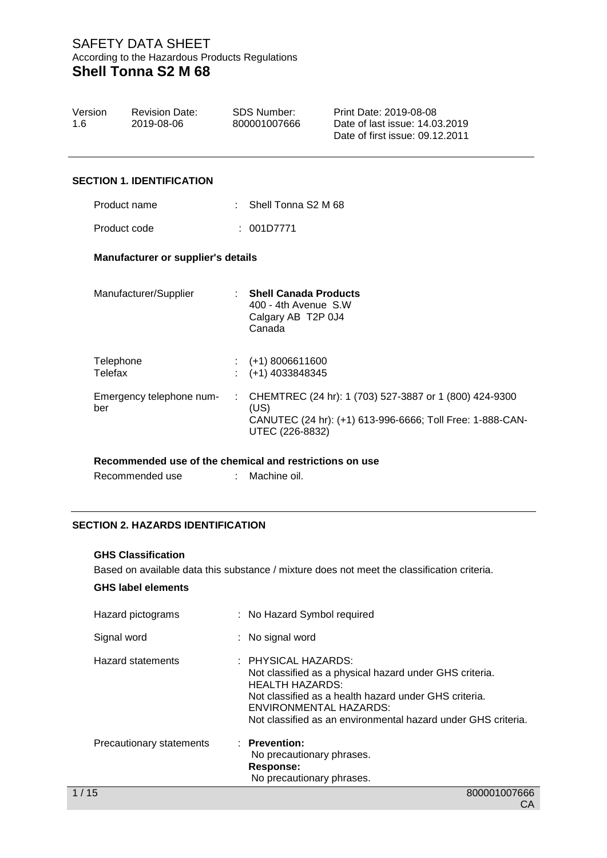| Version<br>1.6 | <b>Revision Date:</b><br>2019-08-06 | <b>SDS Number:</b><br>800001007666 | Print Date: 2019-08-08<br>Date of last issue: 14.03.2019<br>Date of first issue: 09.12.2011 |
|----------------|-------------------------------------|------------------------------------|---------------------------------------------------------------------------------------------|
|                | <b>SECTION 1. IDENTIFICATION</b>    |                                    |                                                                                             |
| Product name   |                                     | Shell Tonna S2 M 68                |                                                                                             |

Product code : 001D7771

### **Manufacturer or supplier's details**

| Manufacturer/Supplier                                   |    | <b>Shell Canada Products</b><br>400 - 4th Avenue S.W<br>Calgary AB T2P 0J4<br>Canada                                                           |
|---------------------------------------------------------|----|------------------------------------------------------------------------------------------------------------------------------------------------|
| Telephone<br>Telefax                                    |    | $(+1)$ 8006611600<br>(+1) 4033848345                                                                                                           |
| Emergency telephone num-<br>ber                         | ÷. | CHEMTREC (24 hr): 1 (703) 527-3887 or 1 (800) 424-9300<br>(US)<br>CANUTEC (24 hr): (+1) 613-996-6666; Toll Free: 1-888-CAN-<br>UTEC (226-8832) |
| Recommended use of the chemical and restrictions on use |    |                                                                                                                                                |

Recommended use : Machine oil.

## **SECTION 2. HAZARDS IDENTIFICATION**

#### **GHS Classification**

Based on available data this substance / mixture does not meet the classification criteria.

## **GHS label elements**

| Hazard pictograms        | : No Hazard Symbol required                                                                                                                                                                                                                                  |
|--------------------------|--------------------------------------------------------------------------------------------------------------------------------------------------------------------------------------------------------------------------------------------------------------|
| Signal word              | : No signal word                                                                                                                                                                                                                                             |
| <b>Hazard statements</b> | : PHYSICAL HAZARDS:<br>Not classified as a physical hazard under GHS criteria.<br><b>HEALTH HAZARDS:</b><br>Not classified as a health hazard under GHS criteria.<br>ENVIRONMENTAL HAZARDS:<br>Not classified as an environmental hazard under GHS criteria. |
| Precautionary statements | : Prevention:<br>No precautionary phrases.<br>Response:<br>No precautionary phrases.                                                                                                                                                                         |
| 1/15                     | 800001007666                                                                                                                                                                                                                                                 |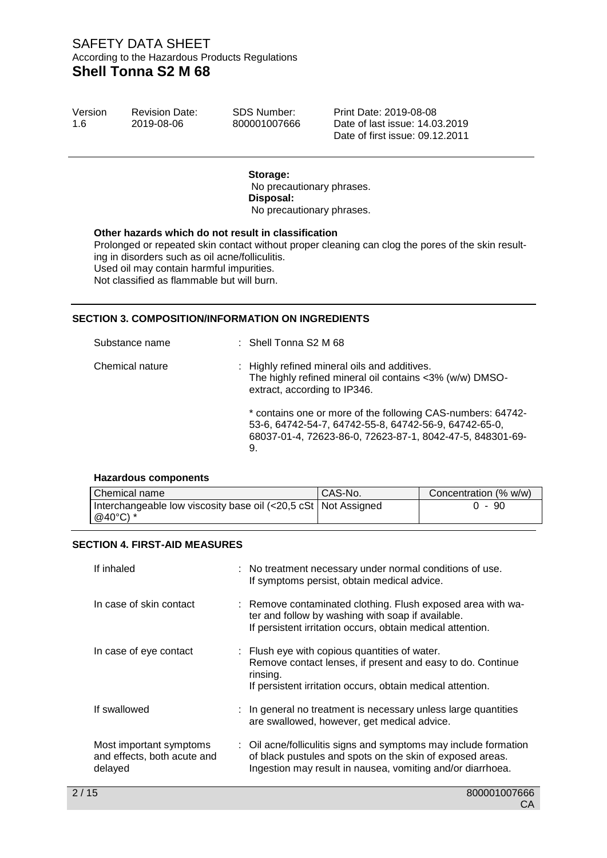| Version | <b>Revision Date:</b> |
|---------|-----------------------|
| 1.6     | 2019-08-06            |

SDS Number: 800001007666 Print Date: 2019-08-08 Date of last issue: 14.03.2019 Date of first issue: 09.12.2011

#### **Storage:**

No precautionary phrases. **Disposal:**  No precautionary phrases.

#### **Other hazards which do not result in classification**

Prolonged or repeated skin contact without proper cleaning can clog the pores of the skin resulting in disorders such as oil acne/folliculitis. Used oil may contain harmful impurities. Not classified as flammable but will burn.

### **SECTION 3. COMPOSITION/INFORMATION ON INGREDIENTS**

| Substance name  | $:$ Shell Tonna S2 M 68                                                                                                                                                                 |
|-----------------|-----------------------------------------------------------------------------------------------------------------------------------------------------------------------------------------|
| Chemical nature | : Highly refined mineral oils and additives.<br>The highly refined mineral oil contains <3% (w/w) DMSO-<br>extract, according to IP346.                                                 |
|                 | * contains one or more of the following CAS-numbers: 64742-<br>53-6, 64742-54-7, 64742-55-8, 64742-56-9, 64742-65-0,<br>68037-01-4, 72623-86-0, 72623-87-1, 8042-47-5, 848301-69-<br>9. |

#### **Hazardous components**

| Chemical name                                                    | CAS-No. | Concentration (% w/w) |
|------------------------------------------------------------------|---------|-----------------------|
| Interchangeable low viscosity base oil (<20,5 cSt   Not Assigned |         | $0 - 90$              |
| @40°C) *                                                         |         |                       |

#### **SECTION 4. FIRST-AID MEASURES**

| If inhaled                                                        | : No treatment necessary under normal conditions of use.<br>If symptoms persist, obtain medical advice.                                                                                     |
|-------------------------------------------------------------------|---------------------------------------------------------------------------------------------------------------------------------------------------------------------------------------------|
| In case of skin contact                                           | : Remove contaminated clothing. Flush exposed area with wa-<br>ter and follow by washing with soap if available.<br>If persistent irritation occurs, obtain medical attention.              |
| In case of eye contact                                            | : Flush eye with copious quantities of water.<br>Remove contact lenses, if present and easy to do. Continue<br>rinsing.<br>If persistent irritation occurs, obtain medical attention.       |
| If swallowed                                                      | : In general no treatment is necessary unless large quantities<br>are swallowed, however, get medical advice.                                                                               |
| Most important symptoms<br>and effects, both acute and<br>delayed | : Oil acne/folliculitis signs and symptoms may include formation<br>of black pustules and spots on the skin of exposed areas.<br>Ingestion may result in nausea, vomiting and/or diarrhoea. |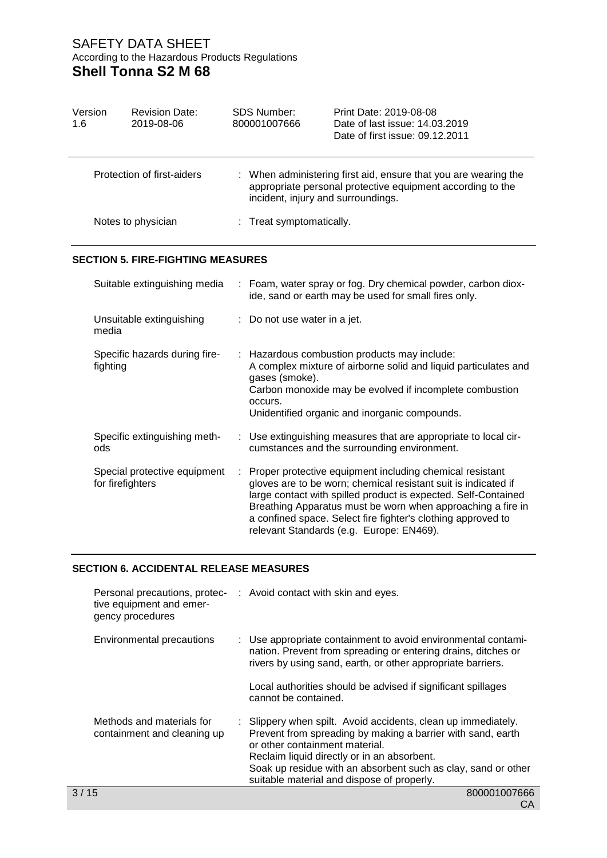| Version<br>1.6 | <b>Revision Date:</b><br>2019-08-06              |  | <b>SDS Number:</b><br>800001007666 | Print Date: 2019-08-08<br>Date of last issue: 14.03.2019<br>Date of first issue: 09.12.2011                                                                                                                                                                                                                                                                             |  |
|----------------|--------------------------------------------------|--|------------------------------------|-------------------------------------------------------------------------------------------------------------------------------------------------------------------------------------------------------------------------------------------------------------------------------------------------------------------------------------------------------------------------|--|
|                | Protection of first-aiders                       |  | incident, injury and surroundings. | : When administering first aid, ensure that you are wearing the<br>appropriate personal protective equipment according to the                                                                                                                                                                                                                                           |  |
|                | Notes to physician                               |  | : Treat symptomatically.           |                                                                                                                                                                                                                                                                                                                                                                         |  |
|                | <b>SECTION 5. FIRE-FIGHTING MEASURES</b>         |  |                                    |                                                                                                                                                                                                                                                                                                                                                                         |  |
|                | Suitable extinguishing media                     |  |                                    | Foam, water spray or fog. Dry chemical powder, carbon diox-<br>ide, sand or earth may be used for small fires only.                                                                                                                                                                                                                                                     |  |
|                | Unsuitable extinguishing<br>media                |  | Do not use water in a jet.         |                                                                                                                                                                                                                                                                                                                                                                         |  |
|                | Specific hazards during fire-<br>fighting        |  | gases (smoke).<br>occurs.          | Hazardous combustion products may include:<br>A complex mixture of airborne solid and liquid particulates and<br>Carbon monoxide may be evolved if incomplete combustion<br>Unidentified organic and inorganic compounds.                                                                                                                                               |  |
|                | Specific extinguishing meth-<br>ods              |  |                                    | Use extinguishing measures that are appropriate to local cir-<br>cumstances and the surrounding environment.                                                                                                                                                                                                                                                            |  |
|                | Special protective equipment<br>for firefighters |  |                                    | Proper protective equipment including chemical resistant<br>gloves are to be worn; chemical resistant suit is indicated if<br>large contact with spilled product is expected. Self-Contained<br>Breathing Apparatus must be worn when approaching a fire in<br>a confined space. Select fire fighter's clothing approved to<br>relevant Standards (e.g. Europe: EN469). |  |

# **SECTION 6. ACCIDENTAL RELEASE MEASURES**

| tive equipment and emer-<br>gency procedures             | Personal precautions, protec- : Avoid contact with skin and eyes.                                                                                                                                                                                                                                                            |
|----------------------------------------------------------|------------------------------------------------------------------------------------------------------------------------------------------------------------------------------------------------------------------------------------------------------------------------------------------------------------------------------|
| <b>Environmental precautions</b>                         | : Use appropriate containment to avoid environmental contami-<br>nation. Prevent from spreading or entering drains, ditches or<br>rivers by using sand, earth, or other appropriate barriers.                                                                                                                                |
|                                                          | Local authorities should be advised if significant spillages<br>cannot be contained.                                                                                                                                                                                                                                         |
| Methods and materials for<br>containment and cleaning up | : Slippery when spilt. Avoid accidents, clean up immediately.<br>Prevent from spreading by making a barrier with sand, earth<br>or other containment material.<br>Reclaim liquid directly or in an absorbent.<br>Soak up residue with an absorbent such as clay, sand or other<br>suitable material and dispose of properly. |
| 3/15                                                     | 800001007666                                                                                                                                                                                                                                                                                                                 |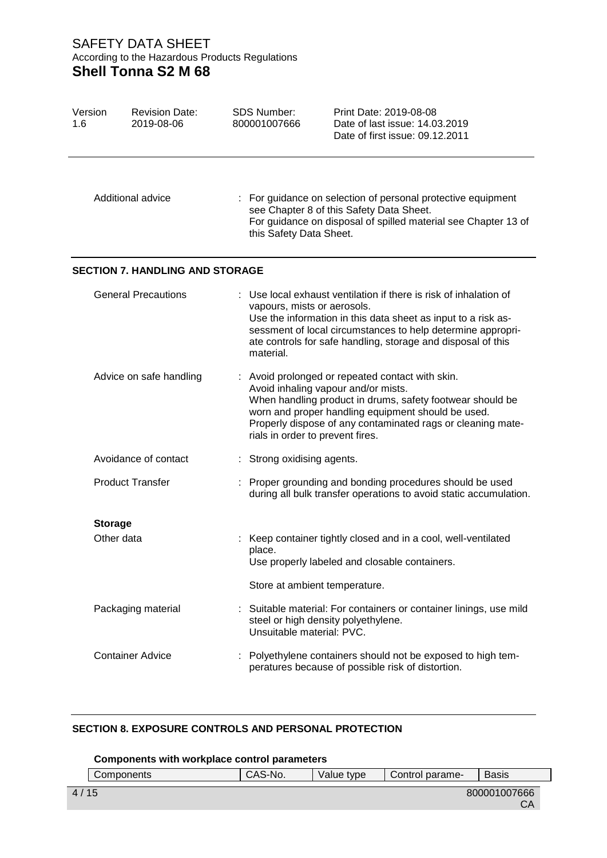| Version<br>1.6 | <b>Revision Date:</b><br>2019-08-06    | <b>SDS Number:</b><br>Print Date: 2019-08-08<br>800001007666<br>Date of last issue: 14.03.2019<br>Date of first issue: 09.12.2011                                                                                                                                                                             |  |
|----------------|----------------------------------------|---------------------------------------------------------------------------------------------------------------------------------------------------------------------------------------------------------------------------------------------------------------------------------------------------------------|--|
|                | Additional advice                      | : For guidance on selection of personal protective equipment<br>see Chapter 8 of this Safety Data Sheet.<br>For guidance on disposal of spilled material see Chapter 13 of<br>this Safety Data Sheet.                                                                                                         |  |
|                | <b>SECTION 7. HANDLING AND STORAGE</b> |                                                                                                                                                                                                                                                                                                               |  |
|                | <b>General Precautions</b>             | : Use local exhaust ventilation if there is risk of inhalation of<br>vapours, mists or aerosols.<br>Use the information in this data sheet as input to a risk as-<br>sessment of local circumstances to help determine appropri-<br>ate controls for safe handling, storage and disposal of this<br>material. |  |
|                | Advice on safe handling                | : Avoid prolonged or repeated contact with skin.<br>Avoid inhaling vapour and/or mists.<br>When handling product in drums, safety footwear should be<br>worn and proper handling equipment should be used.<br>Properly dispose of any contaminated rags or cleaning mate-<br>rials in order to prevent fires. |  |
|                | Avoidance of contact                   | Strong oxidising agents.                                                                                                                                                                                                                                                                                      |  |
|                | <b>Product Transfer</b>                | Proper grounding and bonding procedures should be used<br>during all bulk transfer operations to avoid static accumulation.                                                                                                                                                                                   |  |
|                | <b>Storage</b><br>Other data           | Keep container tightly closed and in a cool, well-ventilated<br>place.<br>Use properly labeled and closable containers.                                                                                                                                                                                       |  |
|                |                                        | Store at ambient temperature.                                                                                                                                                                                                                                                                                 |  |
|                | Packaging material                     | : Suitable material: For containers or container linings, use mild<br>steel or high density polyethylene.<br>Unsuitable material: PVC.                                                                                                                                                                        |  |
|                | <b>Container Advice</b>                | : Polyethylene containers should not be exposed to high tem-<br>peratures because of possible risk of distortion.                                                                                                                                                                                             |  |

## **SECTION 8. EXPOSURE CONTROLS AND PERSONAL PROTECTION**

|        | Components with workplace control parameters |         |            |                 |                    |
|--------|----------------------------------------------|---------|------------|-----------------|--------------------|
|        | Components                                   | CAS-No. | Value tvpe | Control parame- | <b>Basis</b>       |
| 4 / 15 |                                              |         |            |                 | 800001007666<br>CA |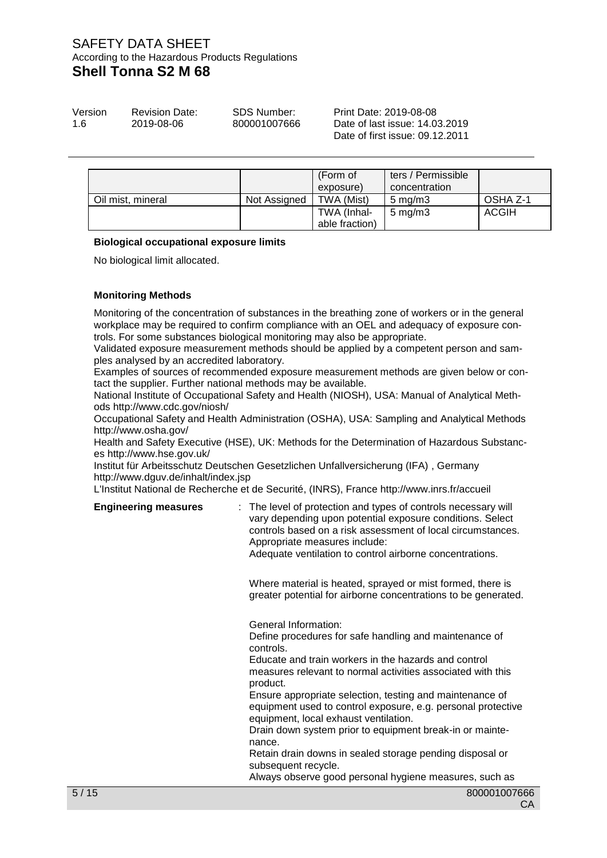| Version | <b>Revision Date:</b> | <b>SDS Number:</b> |
|---------|-----------------------|--------------------|
| 1.6     | 2019-08-06            | 800001007666       |

Print Date: 2019-08-08 Date of last issue: 14.03.2019 Date of first issue: 09.12.2011

|                   |              | (Form of<br>exposure)         | ters / Permissible<br>concentration |          |
|-------------------|--------------|-------------------------------|-------------------------------------|----------|
| Oil mist, mineral | Not Assigned | TWA (Mist)                    | $5 \text{ mg/m}$                    | OSHA Z-1 |
|                   |              | TWA (Inhal-<br>able fraction) | $5 \text{ mg/m}$                    | ACGIH    |

#### **Biological occupational exposure limits**

No biological limit allocated.

### **Monitoring Methods**

Monitoring of the concentration of substances in the breathing zone of workers or in the general workplace may be required to confirm compliance with an OEL and adequacy of exposure controls. For some substances biological monitoring may also be appropriate.

Validated exposure measurement methods should be applied by a competent person and samples analysed by an accredited laboratory.

Examples of sources of recommended exposure measurement methods are given below or contact the supplier. Further national methods may be available.

National Institute of Occupational Safety and Health (NIOSH), USA: Manual of Analytical Methods http://www.cdc.gov/niosh/

Occupational Safety and Health Administration (OSHA), USA: Sampling and Analytical Methods http://www.osha.gov/

Health and Safety Executive (HSE), UK: Methods for the Determination of Hazardous Substances http://www.hse.gov.uk/

Institut für Arbeitsschutz Deutschen Gesetzlichen Unfallversicherung (IFA) , Germany http://www.dguv.de/inhalt/index.jsp

L'Institut National de Recherche et de Securité, (INRS), France http://www.inrs.fr/accueil

### **Engineering measures**

| : The level of protection and types of controls necessary will<br>vary depending upon potential exposure conditions. Select<br>controls based on a risk assessment of local circumstances.<br>Appropriate measures include:<br>Adequate ventilation to control airborne concentrations. |
|-----------------------------------------------------------------------------------------------------------------------------------------------------------------------------------------------------------------------------------------------------------------------------------------|
| Where material is heated, sprayed or mist formed, there is<br>greater potential for airborne concentrations to be generated.                                                                                                                                                            |
| General Information:<br>Define procedures for safe handling and maintenance of<br>controls.<br>Educate and train workers in the hazards and control<br>measures relevant to normal activities associated with this                                                                      |
| product.<br>Ensure appropriate selection, testing and maintenance of<br>equipment used to control exposure, e.g. personal protective<br>equipment, local exhaust ventilation.<br>Drain down system prior to equipment break-in or mainte-                                               |
| nance.<br>Retain drain downs in sealed storage pending disposal or<br>subsequent recycle.                                                                                                                                                                                               |

Always observe good personal hygiene measures, such as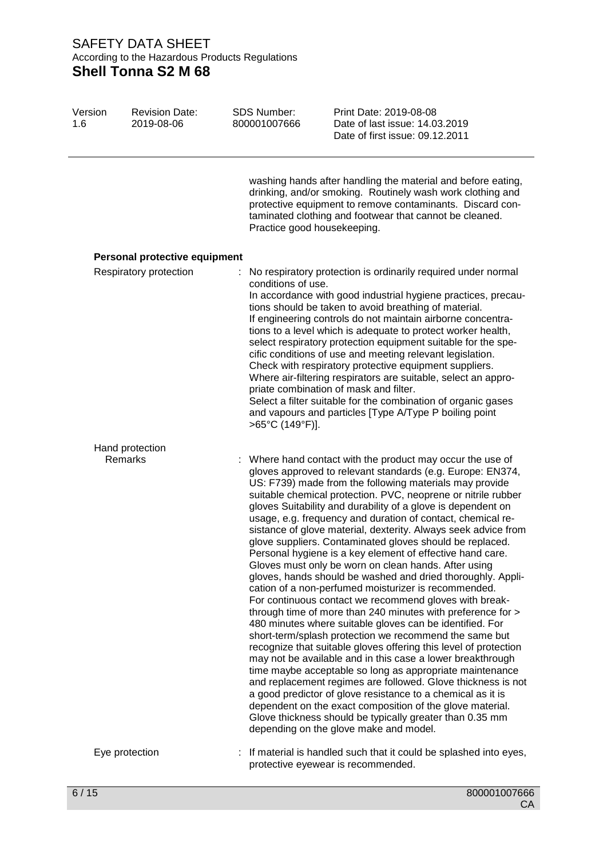| Version<br>1.6 | <b>Revision Date:</b><br>2019-08-06 | <b>SDS Number:</b><br>800001007666    | Print Date: 2019-08-08<br>Date of last issue: 14.03.2019<br>Date of first issue: 09.12.2011                                                                                                                                                                                                                                                                                                                                                                                                                                                                                                                                                                                                                                                                                                                                                                                                                                                                                                                                                                                                                                                                                                                                                                                                                                                                                                                                                                                                                  |
|----------------|-------------------------------------|---------------------------------------|--------------------------------------------------------------------------------------------------------------------------------------------------------------------------------------------------------------------------------------------------------------------------------------------------------------------------------------------------------------------------------------------------------------------------------------------------------------------------------------------------------------------------------------------------------------------------------------------------------------------------------------------------------------------------------------------------------------------------------------------------------------------------------------------------------------------------------------------------------------------------------------------------------------------------------------------------------------------------------------------------------------------------------------------------------------------------------------------------------------------------------------------------------------------------------------------------------------------------------------------------------------------------------------------------------------------------------------------------------------------------------------------------------------------------------------------------------------------------------------------------------------|
|                |                                     | Practice good housekeeping.           | washing hands after handling the material and before eating,<br>drinking, and/or smoking. Routinely wash work clothing and<br>protective equipment to remove contaminants. Discard con-<br>taminated clothing and footwear that cannot be cleaned.                                                                                                                                                                                                                                                                                                                                                                                                                                                                                                                                                                                                                                                                                                                                                                                                                                                                                                                                                                                                                                                                                                                                                                                                                                                           |
|                | Personal protective equipment       |                                       |                                                                                                                                                                                                                                                                                                                                                                                                                                                                                                                                                                                                                                                                                                                                                                                                                                                                                                                                                                                                                                                                                                                                                                                                                                                                                                                                                                                                                                                                                                              |
|                | Respiratory protection              | conditions of use.<br>>65°C (149°F)]. | : No respiratory protection is ordinarily required under normal<br>In accordance with good industrial hygiene practices, precau-<br>tions should be taken to avoid breathing of material.<br>If engineering controls do not maintain airborne concentra-<br>tions to a level which is adequate to protect worker health,<br>select respiratory protection equipment suitable for the spe-<br>cific conditions of use and meeting relevant legislation.<br>Check with respiratory protective equipment suppliers.<br>Where air-filtering respirators are suitable, select an appro-<br>priate combination of mask and filter.<br>Select a filter suitable for the combination of organic gases<br>and vapours and particles [Type A/Type P boiling point                                                                                                                                                                                                                                                                                                                                                                                                                                                                                                                                                                                                                                                                                                                                                      |
|                | Hand protection                     |                                       |                                                                                                                                                                                                                                                                                                                                                                                                                                                                                                                                                                                                                                                                                                                                                                                                                                                                                                                                                                                                                                                                                                                                                                                                                                                                                                                                                                                                                                                                                                              |
|                | Remarks                             |                                       | : Where hand contact with the product may occur the use of<br>gloves approved to relevant standards (e.g. Europe: EN374,<br>US: F739) made from the following materials may provide<br>suitable chemical protection. PVC, neoprene or nitrile rubber<br>gloves Suitability and durability of a glove is dependent on<br>usage, e.g. frequency and duration of contact, chemical re-<br>sistance of glove material, dexterity. Always seek advice from<br>glove suppliers. Contaminated gloves should be replaced.<br>Personal hygiene is a key element of effective hand care.<br>Gloves must only be worn on clean hands. After using<br>gloves, hands should be washed and dried thoroughly. Appli-<br>cation of a non-perfumed moisturizer is recommended.<br>For continuous contact we recommend gloves with break-<br>through time of more than 240 minutes with preference for ><br>480 minutes where suitable gloves can be identified. For<br>short-term/splash protection we recommend the same but<br>recognize that suitable gloves offering this level of protection<br>may not be available and in this case a lower breakthrough<br>time maybe acceptable so long as appropriate maintenance<br>and replacement regimes are followed. Glove thickness is not<br>a good predictor of glove resistance to a chemical as it is<br>dependent on the exact composition of the glove material.<br>Glove thickness should be typically greater than 0.35 mm<br>depending on the glove make and model. |
|                | Eye protection                      |                                       | : If material is handled such that it could be splashed into eyes,<br>protective eyewear is recommended.                                                                                                                                                                                                                                                                                                                                                                                                                                                                                                                                                                                                                                                                                                                                                                                                                                                                                                                                                                                                                                                                                                                                                                                                                                                                                                                                                                                                     |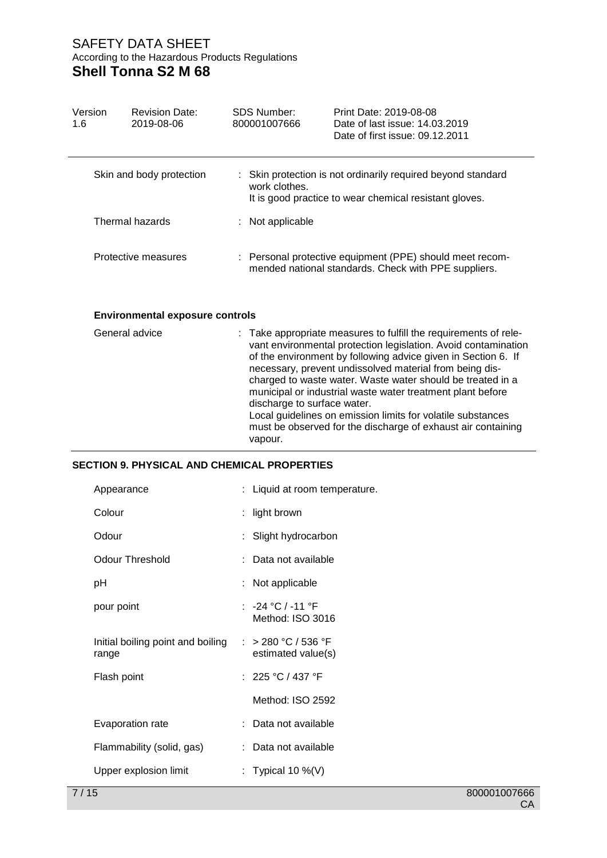| Version<br>1.6 | <b>Revision Date:</b><br>2019-08-06 | SDS Number:<br>800001007666 | Print Date: 2019-08-08<br>Date of last issue: 14,03,2019<br>Date of first issue: 09.12.2011                            |
|----------------|-------------------------------------|-----------------------------|------------------------------------------------------------------------------------------------------------------------|
|                | Skin and body protection            | work clothes.               | : Skin protection is not ordinarily required beyond standard<br>It is good practice to wear chemical resistant gloves. |
|                | Thermal hazards                     | Not applicable              |                                                                                                                        |
|                | Protective measures                 |                             | : Personal protective equipment (PPE) should meet recom-<br>mended national standards. Check with PPE suppliers.       |

### **Environmental exposure controls**

| General advice | : Take appropriate measures to fulfill the requirements of rele-<br>vant environmental protection legislation. Avoid contamination<br>of the environment by following advice given in Section 6. If<br>necessary, prevent undissolved material from being dis-<br>charged to waste water. Waste water should be treated in a<br>municipal or industrial waste water treatment plant before<br>discharge to surface water.<br>Local guidelines on emission limits for volatile substances<br>must be observed for the discharge of exhaust air containing |
|----------------|----------------------------------------------------------------------------------------------------------------------------------------------------------------------------------------------------------------------------------------------------------------------------------------------------------------------------------------------------------------------------------------------------------------------------------------------------------------------------------------------------------------------------------------------------------|
|                | vapour.                                                                                                                                                                                                                                                                                                                                                                                                                                                                                                                                                  |

# **SECTION 9. PHYSICAL AND CHEMICAL PROPERTIES**

| Appearance                                 | : Liquid at room temperature.             |
|--------------------------------------------|-------------------------------------------|
| Colour                                     | $:$ light brown                           |
| Odour                                      | : Slight hydrocarbon                      |
| <b>Odour Threshold</b>                     | : Data not available                      |
| рH                                         | : Not applicable                          |
| pour point                                 | $: -24 °C / -11 °F$<br>Method: ISO 3016   |
| Initial boiling point and boiling<br>range | : > 280 °C / 536 °F<br>estimated value(s) |
| Flash point                                | : $225 °C / 437 °F$                       |
|                                            | Method: ISO 2592                          |
| Evaporation rate                           | : Data not available                      |
| Flammability (solid, gas)                  | : Data not available                      |
| Upper explosion limit                      | : Typical 10 %(V)                         |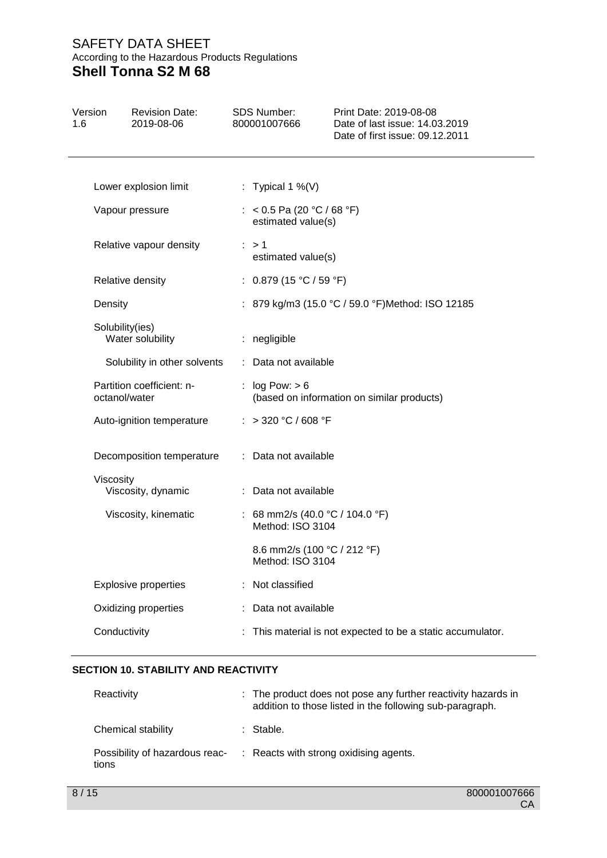| Version<br>1.6 |                 | <b>Revision Date:</b><br>2019-08-06 | <b>SDS Number:</b><br>800001007666                  | Print Date: 2019-08-08<br>Date of last issue: 14.03.2019<br>Date of first issue: 09.12.2011 |
|----------------|-----------------|-------------------------------------|-----------------------------------------------------|---------------------------------------------------------------------------------------------|
|                |                 | Lower explosion limit               | : Typical 1 %(V)                                    |                                                                                             |
|                | Vapour pressure |                                     | : < 0.5 Pa (20 °C / 68 °F)<br>estimated value(s)    |                                                                                             |
|                |                 | Relative vapour density             | $\therefore$ > 1<br>estimated value(s)              |                                                                                             |
|                |                 | Relative density                    | : $0.879$ (15 °C / 59 °F)                           |                                                                                             |
|                | Density         |                                     |                                                     | : 879 kg/m3 (15.0 °C / 59.0 °F)Method: ISO 12185                                            |
|                | Solubility(ies) | Water solubility                    | : negligible                                        |                                                                                             |
|                |                 | Solubility in other solvents        | : Data not available                                |                                                                                             |
|                | octanol/water   | Partition coefficient: n-           | : $log Pow: > 6$                                    | (based on information on similar products)                                                  |
|                |                 | Auto-ignition temperature           | : > 320 °C / 608 °F                                 |                                                                                             |
|                |                 | Decomposition temperature           | : Data not available                                |                                                                                             |
|                | Viscosity       | Viscosity, dynamic                  | : Data not available                                |                                                                                             |
|                |                 | Viscosity, kinematic                | : 68 mm2/s (40.0 °C / 104.0 °F)<br>Method: ISO 3104 |                                                                                             |
|                |                 |                                     | 8.6 mm2/s (100 °C / 212 °F)<br>Method: ISO 3104     |                                                                                             |
|                |                 | <b>Explosive properties</b>         | Not classified                                      |                                                                                             |
|                |                 | Oxidizing properties                | Data not available                                  |                                                                                             |
|                | Conductivity    |                                     |                                                     | This material is not expected to be a static accumulator.                                   |
|                |                 |                                     |                                                     |                                                                                             |

### **SECTION 10. STABILITY AND REACTIVITY**

| Reactivity         | : The product does not pose any further reactivity hazards in<br>addition to those listed in the following sub-paragraph. |
|--------------------|---------------------------------------------------------------------------------------------------------------------------|
| Chemical stability | : Stable.                                                                                                                 |
| tions              | Possibility of hazardous reac- : Reacts with strong oxidising agents.                                                     |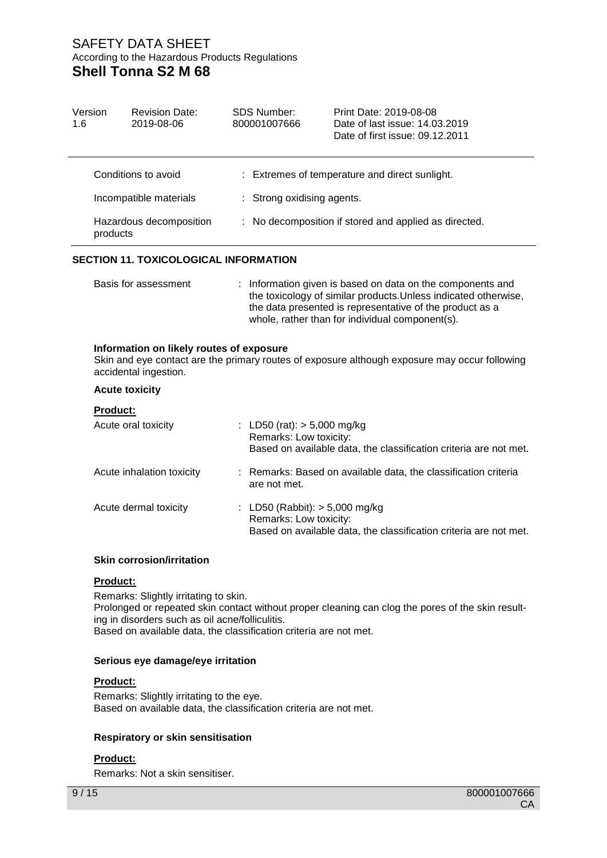| Version<br>1.6 | <b>Revision Date:</b><br>2019-08-06                               | SDS Number:<br>800001007666 | Print Date: 2019-08-08<br>Date of last issue: 14.03.2019<br>Date of first issue: 09.12.2011                                                                                                                                                  |
|----------------|-------------------------------------------------------------------|-----------------------------|----------------------------------------------------------------------------------------------------------------------------------------------------------------------------------------------------------------------------------------------|
|                | Conditions to avoid                                               |                             | : Extremes of temperature and direct sunlight.                                                                                                                                                                                               |
|                | Incompatible materials                                            | : Strong oxidising agents.  |                                                                                                                                                                                                                                              |
| products       | Hazardous decomposition                                           |                             | : No decomposition if stored and applied as directed.                                                                                                                                                                                        |
|                | <b>SECTION 11. TOXICOLOGICAL INFORMATION</b>                      |                             |                                                                                                                                                                                                                                              |
|                | Basis for assessment                                              |                             | : Information given is based on data on the components and<br>the toxicology of similar products. Unless indicated otherwise,<br>the data presented is representative of the product as a<br>whole, rather than for individual component(s). |
|                | Information on likely routes of exposure<br>accidental ingestion. |                             | Skin and eye contact are the primary routes of exposure although exposure may occur following                                                                                                                                                |
|                | <b>Acute toxicity</b>                                             |                             |                                                                                                                                                                                                                                              |

### **Product:**

| Acute oral toxicity       | : LD50 (rat): $> 5,000$ mg/kg<br>Remarks: Low toxicity:<br>Based on available data, the classification criteria are not met.    |
|---------------------------|---------------------------------------------------------------------------------------------------------------------------------|
| Acute inhalation toxicity | : Remarks: Based on available data, the classification criteria<br>are not met.                                                 |
| Acute dermal toxicity     | : LD50 (Rabbit): $> 5,000$ mg/kg<br>Remarks: Low toxicity:<br>Based on available data, the classification criteria are not met. |

### **Skin corrosion/irritation**

### **Product:**

Remarks: Slightly irritating to skin. Prolonged or repeated skin contact without proper cleaning can clog the pores of the skin resulting in disorders such as oil acne/folliculitis. Based on available data, the classification criteria are not met.

### **Serious eye damage/eye irritation**

## **Product:**

Remarks: Slightly irritating to the eye. Based on available data, the classification criteria are not met.

### **Respiratory or skin sensitisation**

## **Product:**

Remarks: Not a skin sensitiser.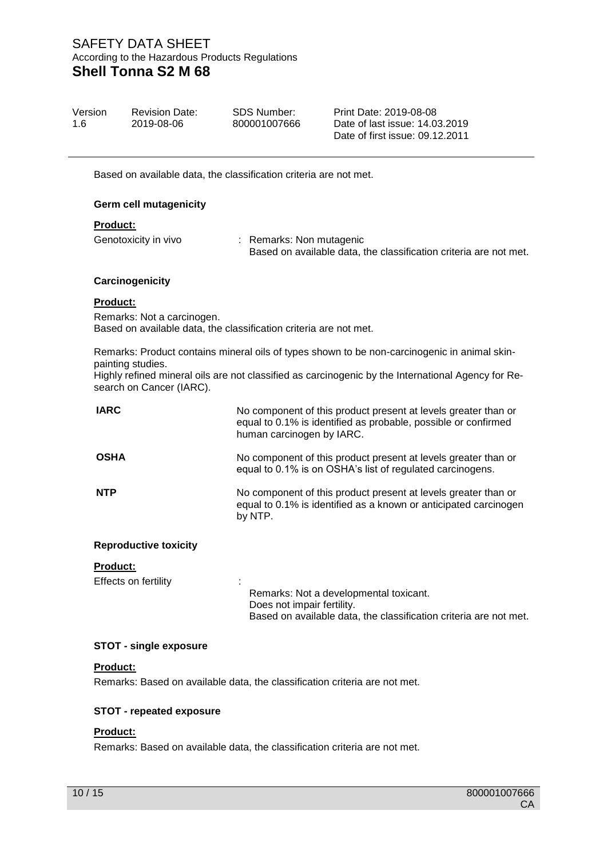| Version<br>1 6 | <b>Revision Date:</b><br>2019-08-06 | <b>SDS Number:</b><br>800001007666 | Print Date: 2019-08-08<br>Date of last issue: 14.03.2019<br>Date of first issue: 09.12.2011 |  |
|----------------|-------------------------------------|------------------------------------|---------------------------------------------------------------------------------------------|--|
|                |                                     |                                    |                                                                                             |  |

Based on available data, the classification criteria are not met.

### **Germ cell mutagenicity**

#### **Product:**

Genotoxicity in vivo : Remarks: Non mutagenic Based on available data, the classification criteria are not met.

#### **Carcinogenicity**

#### **Product:**

Remarks: Not a carcinogen. Based on available data, the classification criteria are not met.

Remarks: Product contains mineral oils of types shown to be non-carcinogenic in animal skinpainting studies.

Highly refined mineral oils are not classified as carcinogenic by the International Agency for Research on Cancer (IARC).

| <b>IARC</b>                  | No component of this product present at levels greater than or<br>equal to 0.1% is identified as probable, possible or confirmed<br>human carcinogen by IARC. |
|------------------------------|---------------------------------------------------------------------------------------------------------------------------------------------------------------|
| <b>OSHA</b>                  | No component of this product present at levels greater than or<br>equal to 0.1% is on OSHA's list of regulated carcinogens.                                   |
| <b>NTP</b>                   | No component of this product present at levels greater than or<br>equal to 0.1% is identified as a known or anticipated carcinogen<br>by NTP.                 |
| <b>Reproductive toxicity</b> |                                                                                                                                                               |
| <b>Product:</b>              |                                                                                                                                                               |
| Effects on fertility         |                                                                                                                                                               |
|                              | Remarks: Not a developmental toxicant.<br>Does not impair fertility.<br>Based on available data, the classification criteria are not met.                     |
|                              |                                                                                                                                                               |

#### **STOT - single exposure**

#### **Product:**

Remarks: Based on available data, the classification criteria are not met.

### **STOT - repeated exposure**

## **Product:**

Remarks: Based on available data, the classification criteria are not met.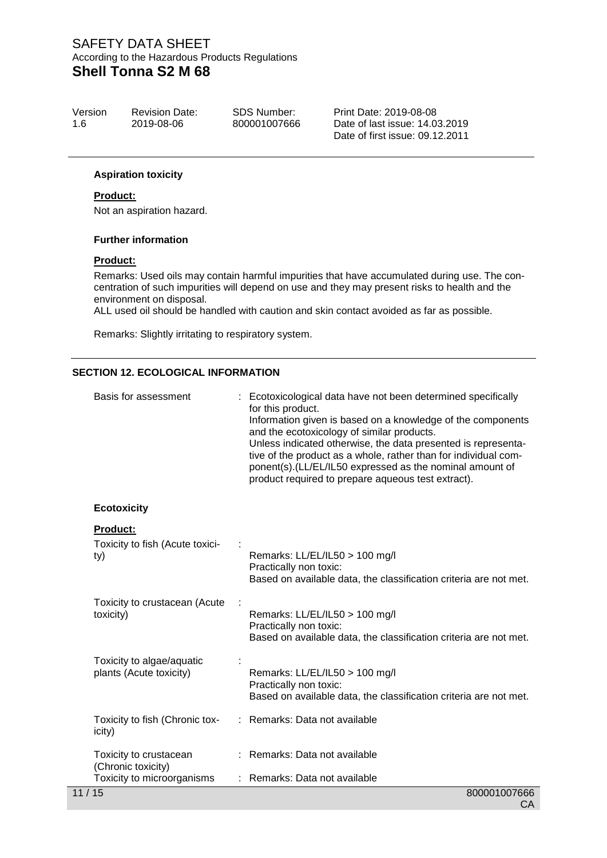| Version | <b>Revision Date:</b> | <b>SDS Number:</b> | Print |
|---------|-----------------------|--------------------|-------|
| -1.6    | 2019-08-06            | 800001007666       | Date  |
|         |                       |                    | Date  |

Date: 2019-08-08 of last issue: 14.03.2019 Date of first issue: 09.12.2011

### **Aspiration toxicity**

## **Product:**

Not an aspiration hazard.

#### **Further information**

#### **Product:**

Remarks: Used oils may contain harmful impurities that have accumulated during use. The concentration of such impurities will depend on use and they may present risks to health and the environment on disposal.

ALL used oil should be handled with caution and skin contact avoided as far as possible.

Remarks: Slightly irritating to respiratory system.

### **SECTION 12. ECOLOGICAL INFORMATION**

| Basis for assessment                                 | Ecotoxicological data have not been determined specifically<br>for this product.<br>Information given is based on a knowledge of the components<br>and the ecotoxicology of similar products.<br>Unless indicated otherwise, the data presented is representa-<br>tive of the product as a whole, rather than for individual com-<br>ponent(s).(LL/EL/IL50 expressed as the nominal amount of<br>product required to prepare aqueous test extract). |
|------------------------------------------------------|-----------------------------------------------------------------------------------------------------------------------------------------------------------------------------------------------------------------------------------------------------------------------------------------------------------------------------------------------------------------------------------------------------------------------------------------------------|
| <b>Ecotoxicity</b>                                   |                                                                                                                                                                                                                                                                                                                                                                                                                                                     |
| <b>Product:</b>                                      |                                                                                                                                                                                                                                                                                                                                                                                                                                                     |
| Toxicity to fish (Acute toxici-<br>ty)               | Remarks: LL/EL/IL50 > 100 mg/l<br>Practically non toxic:<br>Based on available data, the classification criteria are not met.                                                                                                                                                                                                                                                                                                                       |
| Toxicity to crustacean (Acute<br>toxicity)           | Remarks: LL/EL/IL50 > 100 mg/l<br>Practically non toxic:<br>Based on available data, the classification criteria are not met.                                                                                                                                                                                                                                                                                                                       |
| Toxicity to algae/aquatic<br>plants (Acute toxicity) | Remarks: LL/EL/IL50 > 100 mg/l<br>Practically non toxic:<br>Based on available data, the classification criteria are not met.                                                                                                                                                                                                                                                                                                                       |
| Toxicity to fish (Chronic tox-<br>icity)             | : Remarks: Data not available                                                                                                                                                                                                                                                                                                                                                                                                                       |
| Toxicity to crustacean<br>(Chronic toxicity)         | : Remarks: Data not available                                                                                                                                                                                                                                                                                                                                                                                                                       |
| Toxicity to microorganisms                           | Remarks: Data not available                                                                                                                                                                                                                                                                                                                                                                                                                         |
| 11/15                                                | 800001007666                                                                                                                                                                                                                                                                                                                                                                                                                                        |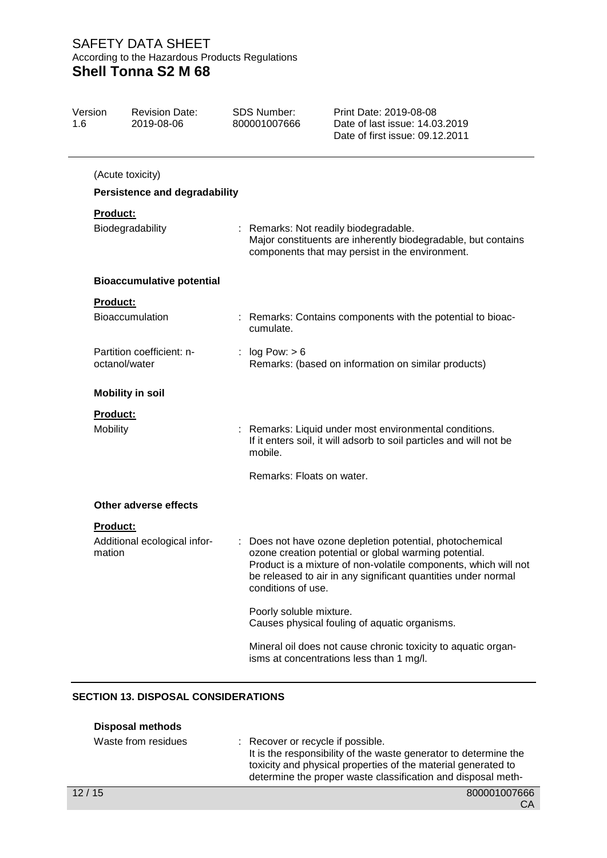| Version<br>1.6 | <b>Revision Date:</b><br>2019-08-06        | <b>SDS Number:</b><br>800001007666 | Print Date: 2019-08-08<br>Date of last issue: 14.03.2019<br>Date of first issue: 09.12.2011                                                                                                                                                           |  |  |
|----------------|--------------------------------------------|------------------------------------|-------------------------------------------------------------------------------------------------------------------------------------------------------------------------------------------------------------------------------------------------------|--|--|
|                | (Acute toxicity)                           |                                    |                                                                                                                                                                                                                                                       |  |  |
|                | <b>Persistence and degradability</b>       |                                    |                                                                                                                                                                                                                                                       |  |  |
|                | Product:                                   |                                    |                                                                                                                                                                                                                                                       |  |  |
|                | Biodegradability                           |                                    | : Remarks: Not readily biodegradable.<br>Major constituents are inherently biodegradable, but contains<br>components that may persist in the environment.                                                                                             |  |  |
|                | <b>Bioaccumulative potential</b>           |                                    |                                                                                                                                                                                                                                                       |  |  |
|                | <b>Product:</b>                            |                                    |                                                                                                                                                                                                                                                       |  |  |
|                | Bioaccumulation                            | cumulate.                          | : Remarks: Contains components with the potential to bioac-                                                                                                                                                                                           |  |  |
|                | Partition coefficient: n-<br>octanol/water | : $log Pow: > 6$                   | Remarks: (based on information on similar products)                                                                                                                                                                                                   |  |  |
|                | <b>Mobility in soil</b>                    |                                    |                                                                                                                                                                                                                                                       |  |  |
|                | <b>Product:</b>                            |                                    |                                                                                                                                                                                                                                                       |  |  |
| Mobility       |                                            | mobile.                            | : Remarks: Liquid under most environmental conditions.<br>If it enters soil, it will adsorb to soil particles and will not be                                                                                                                         |  |  |
|                |                                            | Remarks: Floats on water.          |                                                                                                                                                                                                                                                       |  |  |
|                | Other adverse effects                      |                                    |                                                                                                                                                                                                                                                       |  |  |
|                | <b>Product:</b>                            |                                    |                                                                                                                                                                                                                                                       |  |  |
|                | Additional ecological infor-<br>mation     | conditions of use.                 | : Does not have ozone depletion potential, photochemical<br>ozone creation potential or global warming potential.<br>Product is a mixture of non-volatile components, which will not<br>be released to air in any significant quantities under normal |  |  |
|                |                                            | Poorly soluble mixture.            | Causes physical fouling of aquatic organisms.                                                                                                                                                                                                         |  |  |
|                |                                            |                                    | Mineral oil does not cause chronic toxicity to aquatic organ-<br>isms at concentrations less than 1 mg/l.                                                                                                                                             |  |  |
|                |                                            |                                    |                                                                                                                                                                                                                                                       |  |  |

# **SECTION 13. DISPOSAL CONSIDERATIONS**

| <b>Disposal methods</b> |                                                                                                                                                                                                                                        |
|-------------------------|----------------------------------------------------------------------------------------------------------------------------------------------------------------------------------------------------------------------------------------|
| Waste from residues     | : Recover or recycle if possible.<br>It is the responsibility of the waste generator to determine the<br>toxicity and physical properties of the material generated to<br>determine the proper waste classification and disposal meth- |
| 12/15                   | 800001007666                                                                                                                                                                                                                           |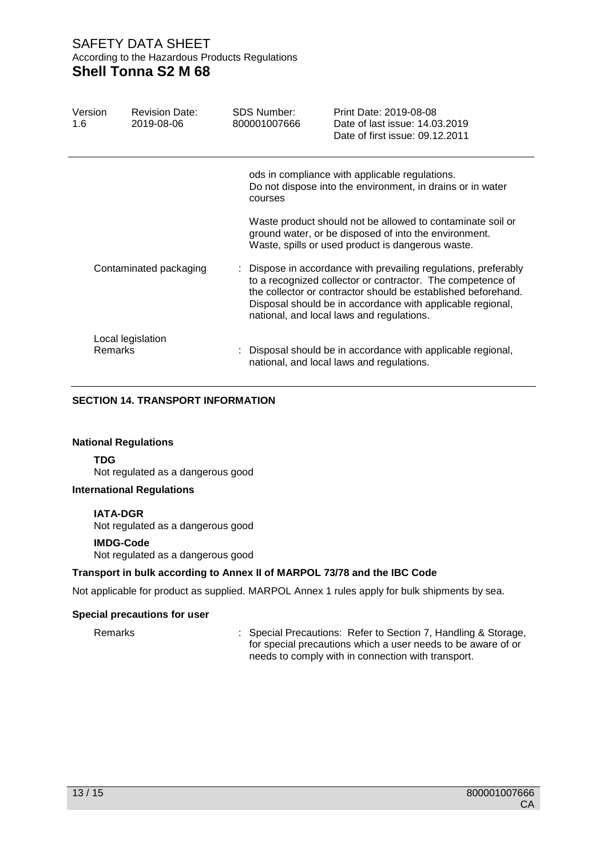| Version<br>1.6               | <b>Revision Date:</b><br>2019-08-06 | <b>SDS Number:</b><br>800001007666                                                                                      | Print Date: 2019-08-08<br>Date of last issue: 14,03,2019<br>Date of first issue: 09.12.2011                                                                                                                                                                                                               |  |  |
|------------------------------|-------------------------------------|-------------------------------------------------------------------------------------------------------------------------|-----------------------------------------------------------------------------------------------------------------------------------------------------------------------------------------------------------------------------------------------------------------------------------------------------------|--|--|
|                              |                                     | ods in compliance with applicable regulations.<br>Do not dispose into the environment, in drains or in water<br>courses |                                                                                                                                                                                                                                                                                                           |  |  |
|                              |                                     |                                                                                                                         | Waste product should not be allowed to contaminate soil or<br>ground water, or be disposed of into the environment.<br>Waste, spills or used product is dangerous waste.                                                                                                                                  |  |  |
| Contaminated packaging       |                                     |                                                                                                                         | : Dispose in accordance with prevailing regulations, preferably<br>to a recognized collector or contractor. The competence of<br>the collector or contractor should be established beforehand.<br>Disposal should be in accordance with applicable regional,<br>national, and local laws and regulations. |  |  |
| Local legislation<br>Remarks |                                     |                                                                                                                         | : Disposal should be in accordance with applicable regional,<br>national, and local laws and regulations.                                                                                                                                                                                                 |  |  |

## **SECTION 14. TRANSPORT INFORMATION**

### **National Regulations**

**TDG** Not regulated as a dangerous good

### **International Regulations**

**IATA-DGR**

Not regulated as a dangerous good

#### **IMDG-Code**

Not regulated as a dangerous good

### **Transport in bulk according to Annex II of MARPOL 73/78 and the IBC Code**

Not applicable for product as supplied. MARPOL Annex 1 rules apply for bulk shipments by sea.

#### **Special precautions for user**

Remarks : Special Precautions: Refer to Section 7, Handling & Storage, for special precautions which a user needs to be aware of or needs to comply with in connection with transport.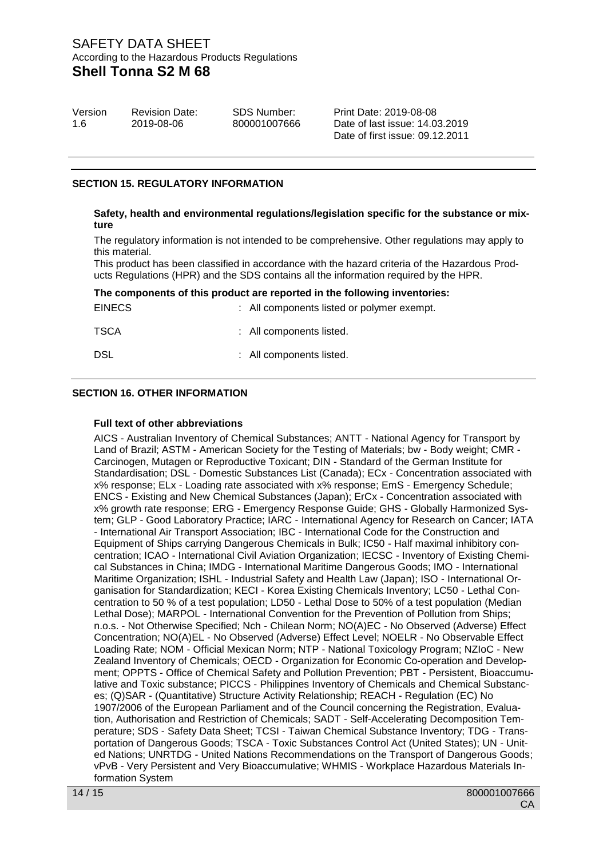| Version | <b>Revision Date:</b> | SDS Number:  | Print Date: 2019-08-08          |
|---------|-----------------------|--------------|---------------------------------|
| 1.6     | 2019-08-06            | 800001007666 | Date of last issue: 14,03,2019  |
|         |                       |              | Date of first issue: 09.12.2011 |

## **SECTION 15. REGULATORY INFORMATION**

#### **Safety, health and environmental regulations/legislation specific for the substance or mixture**

The regulatory information is not intended to be comprehensive. Other regulations may apply to this material.

This product has been classified in accordance with the hazard criteria of the Hazardous Products Regulations (HPR) and the SDS contains all the information required by the HPR.

| The components of this product are reported in the following inventories: |  |                                            |  |  |
|---------------------------------------------------------------------------|--|--------------------------------------------|--|--|
| <b>EINECS</b>                                                             |  | : All components listed or polymer exempt. |  |  |
| TSCA                                                                      |  | : All components listed.                   |  |  |
| <b>DSL</b>                                                                |  | : All components listed.                   |  |  |

### **SECTION 16. OTHER INFORMATION**

#### **Full text of other abbreviations**

AICS - Australian Inventory of Chemical Substances; ANTT - National Agency for Transport by Land of Brazil; ASTM - American Society for the Testing of Materials; bw - Body weight; CMR - Carcinogen, Mutagen or Reproductive Toxicant; DIN - Standard of the German Institute for Standardisation; DSL - Domestic Substances List (Canada); ECx - Concentration associated with x% response; ELx - Loading rate associated with x% response; EmS - Emergency Schedule; ENCS - Existing and New Chemical Substances (Japan); ErCx - Concentration associated with x% growth rate response; ERG - Emergency Response Guide; GHS - Globally Harmonized System; GLP - Good Laboratory Practice; IARC - International Agency for Research on Cancer; IATA - International Air Transport Association; IBC - International Code for the Construction and Equipment of Ships carrying Dangerous Chemicals in Bulk; IC50 - Half maximal inhibitory concentration; ICAO - International Civil Aviation Organization; IECSC - Inventory of Existing Chemical Substances in China; IMDG - International Maritime Dangerous Goods; IMO - International Maritime Organization; ISHL - Industrial Safety and Health Law (Japan); ISO - International Organisation for Standardization; KECI - Korea Existing Chemicals Inventory; LC50 - Lethal Concentration to 50 % of a test population; LD50 - Lethal Dose to 50% of a test population (Median Lethal Dose); MARPOL - International Convention for the Prevention of Pollution from Ships; n.o.s. - Not Otherwise Specified; Nch - Chilean Norm; NO(A)EC - No Observed (Adverse) Effect Concentration; NO(A)EL - No Observed (Adverse) Effect Level; NOELR - No Observable Effect Loading Rate; NOM - Official Mexican Norm; NTP - National Toxicology Program; NZIoC - New Zealand Inventory of Chemicals; OECD - Organization for Economic Co-operation and Development; OPPTS - Office of Chemical Safety and Pollution Prevention; PBT - Persistent, Bioaccumulative and Toxic substance; PICCS - Philippines Inventory of Chemicals and Chemical Substances; (Q)SAR - (Quantitative) Structure Activity Relationship; REACH - Regulation (EC) No 1907/2006 of the European Parliament and of the Council concerning the Registration, Evaluation, Authorisation and Restriction of Chemicals; SADT - Self-Accelerating Decomposition Temperature; SDS - Safety Data Sheet; TCSI - Taiwan Chemical Substance Inventory; TDG - Transportation of Dangerous Goods; TSCA - Toxic Substances Control Act (United States); UN - United Nations; UNRTDG - United Nations Recommendations on the Transport of Dangerous Goods; vPvB - Very Persistent and Very Bioaccumulative; WHMIS - Workplace Hazardous Materials Information System